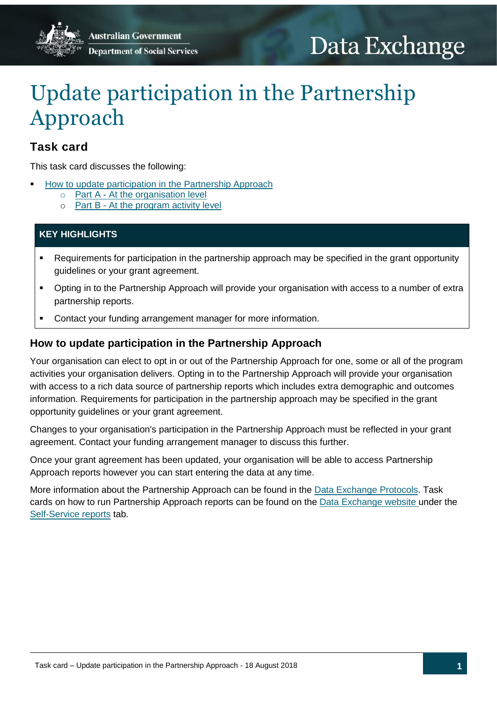# Data Exchange

## Update participation in the Partnership Approach

## **Task card**

This task card discusses the following:

- [How to update participation in the Partnership Approach](#page-0-0)
	- Part A [At the organisation level](#page-1-0)
	- o Part B [At the program activity level](#page-2-0)

## **KEY HIGHLIGHTS**

- Requirements for participation in the partnership approach may be specified in the grant opportunity guidelines or your grant agreement.
- Opting in to the Partnership Approach will provide your organisation with access to a number of extra partnership reports.
- Contact your funding arrangement manager for more information.

## <span id="page-0-0"></span>**How to update participation in the Partnership Approach**

Your organisation can elect to opt in or out of the Partnership Approach for one, some or all of the program activities your organisation delivers. Opting in to the Partnership Approach will provide your organisation with access to a rich data source of partnership reports which includes extra demographic and outcomes information. Requirements for participation in the partnership approach may be specified in the grant opportunity guidelines or your grant agreement.

Changes to your organisation's participation in the Partnership Approach must be reflected in your grant agreement. Contact your funding arrangement manager to discuss this further.

Once your grant agreement has been updated, your organisation will be able to access Partnership Approach reports however you can start entering the data at any time.

More information about the Partnership Approach can be found in the [Data Exchange Protocols.](https://dex.dss.gov.au/data-exchange-protocols/) Task cards on how to run Partnership Approach reports can be found on the [Data Exchange website](https://dex.dss.gov.au/) under the [Self-Service reports](https://dex.dss.gov.au/reports/) tab.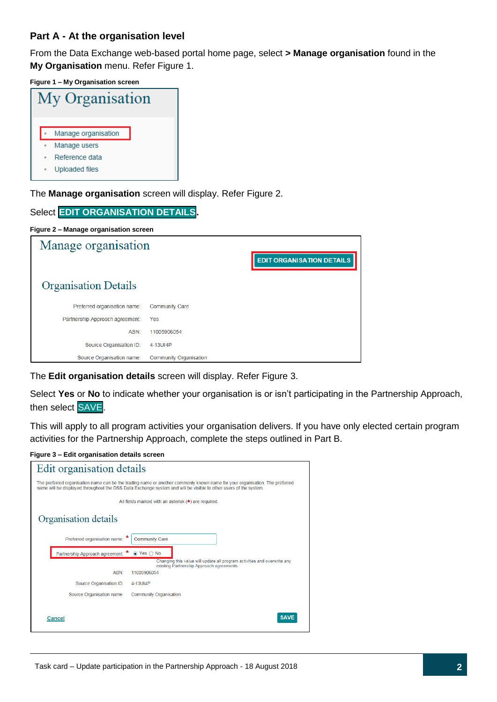### <span id="page-1-0"></span>**Part A - At the organisation level**

From the Data Exchange web-based portal home page, select **> Manage organisation** found in the **My Organisation** menu. Refer Figure 1.

**Figure 1 – My Organisation screen**

| My Organisation |           |                     |  |  |  |  |
|-----------------|-----------|---------------------|--|--|--|--|
|                 |           | Manage organisation |  |  |  |  |
|                 |           | Manage users        |  |  |  |  |
|                 | $\bullet$ | Reference data      |  |  |  |  |
|                 |           | Uploaded files      |  |  |  |  |

The **Manage organisation** screen will display. Refer Figure 2.

| Select EDIT ORGANISATION DETAILS.     |                        |                               |  |  |  |  |
|---------------------------------------|------------------------|-------------------------------|--|--|--|--|
| Figure 2 - Manage organisation screen |                        |                               |  |  |  |  |
| Manage organisation                   |                        |                               |  |  |  |  |
|                                       |                        | <b>EDIT ORGANISATION DETA</b> |  |  |  |  |
| <b>Organisation Details</b>           |                        |                               |  |  |  |  |
| Preferred organisation name:          | <b>Community Care</b>  |                               |  |  |  |  |
| Partnership Approach agreement:       | Yes                    |                               |  |  |  |  |
| ABN:                                  | 11005906054            |                               |  |  |  |  |
| Source Organisation ID:               | 4-13UI4P               |                               |  |  |  |  |
| Source Organisation name:             | Community Organisation |                               |  |  |  |  |

The **Edit organisation details** screen will display. Refer Figure 3.

Select **Yes** or **No** to indicate whether your organisation is or isn't participating in the Partnership Approach, then select SAVE.

This will apply to all program activities your organisation delivers. If you have only elected certain program activities for the Partnership Approach, complete the steps outlined in Part B.

#### **Figure 3 – Edit organisation details screen**

| Edit organisation details                                                                                                                                                                                                                       |  |  |  |  |
|-------------------------------------------------------------------------------------------------------------------------------------------------------------------------------------------------------------------------------------------------|--|--|--|--|
| The preferred organisation name can be the trading name or another commonly known name for your organisation. The preferred<br>name will be displayed throughout the DSS Data Exchange system and will be visible to other users of the system. |  |  |  |  |
| All fields marked with an asterisk $(*)$ are required.                                                                                                                                                                                          |  |  |  |  |
| Organisation details                                                                                                                                                                                                                            |  |  |  |  |
| Preferred organisation name:<br><b>Community Care</b>                                                                                                                                                                                           |  |  |  |  |
| Partnership Approach agreement: * ● Yes ○ No                                                                                                                                                                                                    |  |  |  |  |
| Changing this value will update all program activities and overwrite any<br>existing Partnership Approach agreements.                                                                                                                           |  |  |  |  |
| ABN:<br>11005906054                                                                                                                                                                                                                             |  |  |  |  |
| Source Organisation ID:<br>4-13UI4P                                                                                                                                                                                                             |  |  |  |  |
| Source Organisation name:<br><b>Community Organisation</b>                                                                                                                                                                                      |  |  |  |  |
| <b>SAVE</b><br>Cancel                                                                                                                                                                                                                           |  |  |  |  |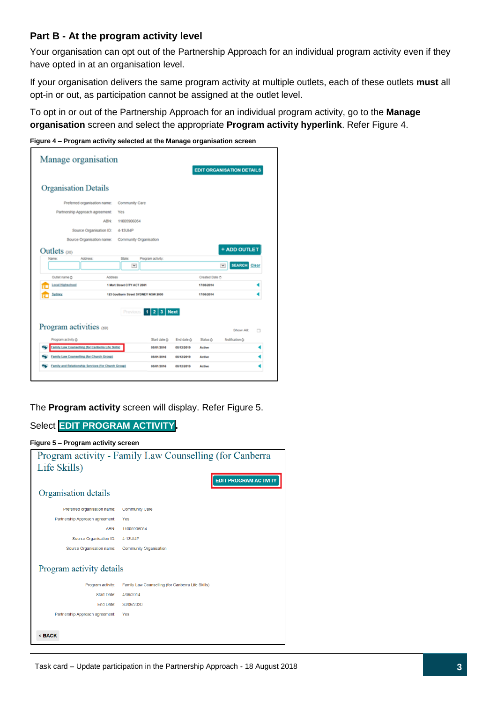#### <span id="page-2-0"></span>**Part B - At the program activity level**

Your organisation can opt out of the Partnership Approach for an individual program activity even if they have opted in at an organisation level.

If your organisation delivers the same program activity at multiple outlets, each of these outlets **must** all opt-in or out, as participation cannot be assigned at the outlet level.

To opt in or out of the Partnership Approach for an individual program activity, go to the **Manage organisation** screen and select the appropriate **Program activity hyperlink**. Refer Figure 4.

**Figure 4 – Program activity selected at the Manage organisation screen** 

| Manage organisation                               |                         |                                     |                           |                     |                | <b>EDIT ORGANISATION DETAILS</b> |       |
|---------------------------------------------------|-------------------------|-------------------------------------|---------------------------|---------------------|----------------|----------------------------------|-------|
| <b>Organisation Details</b>                       |                         |                                     |                           |                     |                |                                  |       |
| Preferred organisation name:                      |                         | Community Care                      |                           |                     |                |                                  |       |
| Partnership Approach agreement:                   |                         | Yes                                 |                           |                     |                |                                  |       |
|                                                   | <b>ABN:</b>             | 11005906054                         |                           |                     |                |                                  |       |
|                                                   | Source Organisation ID: | 4-13UI4P                            |                           |                     |                |                                  |       |
| Source Organisation name:                         |                         | Community Organisation              |                           |                     |                |                                  |       |
| Outlets $(30)$                                    |                         |                                     |                           |                     |                | + ADD OUTLET                     |       |
| <b>Name</b><br><b>Address</b>                     |                         | State:                              | Program activity:         |                     |                |                                  |       |
|                                                   |                         | v                                   |                           |                     |                | <b>SEARCH</b>                    | Clear |
| Outlet name &                                     | Address                 |                                     |                           |                     | Created Date & |                                  |       |
| <b>Local Highschool</b>                           |                         | 1 Mort Street CITY ACT 2001         |                           |                     | 17/06/2014     |                                  |       |
| Sydney                                            |                         | 123 Goulburn Street SYDNEY NSW 2000 |                           |                     | 17/06/2014     |                                  |       |
|                                                   |                         | Previous                            | $23$ Next<br>$\mathbf{1}$ |                     |                |                                  |       |
| Program activities (69)                           |                         |                                     |                           |                     |                | Show All:                        |       |
| Program activity C:                               |                         |                                     | Start date O              | End date $\bigcirc$ | Status O       | Notification C:                  |       |
| Family Law Counselling (for Canberra Life Skills) |                         |                                     | 08/01/2016                | 08/12/2019          | Active         |                                  |       |
| Family Law Counselling (for Church Group)         |                         |                                     |                           |                     |                |                                  |       |
|                                                   |                         |                                     | 08/01/2016                | 08/12/2019          | Active         |                                  |       |

The **Program activity** screen will display. Refer Figure 5.

### Select **EDIT PROGRAM ACTIVITY.**

| Figure 5 - Program activity screen |                                                         |  |  |  |  |
|------------------------------------|---------------------------------------------------------|--|--|--|--|
|                                    | Program activity - Family Law Counselling (for Canberra |  |  |  |  |
| Life Skills)                       |                                                         |  |  |  |  |
|                                    | <b>EDIT PROGRAM ACTIVITY</b>                            |  |  |  |  |
| Organisation details               |                                                         |  |  |  |  |
| Preferred organisation name:       | <b>Community Care</b>                                   |  |  |  |  |
| Partnership Approach agreement:    | Yes                                                     |  |  |  |  |
| ABN:                               | 11005906054                                             |  |  |  |  |
| Source Organisation ID:            | 4-13UI4P                                                |  |  |  |  |
| Source Organisation name:          | <b>Community Organisation</b>                           |  |  |  |  |
| Program activity details           |                                                         |  |  |  |  |
| Program activity:                  | Family Law Counselling (for Canberra Life Skills)       |  |  |  |  |
| Start Date:                        | 4/06/2014                                               |  |  |  |  |
| End Date:                          | 30/06/2020                                              |  |  |  |  |
| Partnership Approach agreement:    | Yes                                                     |  |  |  |  |
| <back< th=""><th></th></back<>     |                                                         |  |  |  |  |